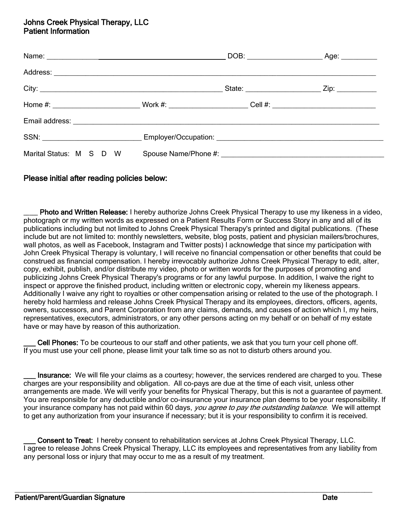# Johns Creek Physical Therapy, LLC Patient Information

| Marital Status: M S D W Spouse Name/Phone #: |  |  |
|----------------------------------------------|--|--|

## Please initial after reading policies below:

Photo and Written Release: I hereby authorize Johns Creek Physical Therapy to use my likeness in a video, photograph or my written words as expressed on a Patient Results Form or Success Story in any and all of its publications including but not limited to Johns Creek Physical Therapy's printed and digital publications. (These include but are not limited to: monthly newsletters, website, blog posts, patient and physician mailers/brochures, wall photos, as well as Facebook, Instagram and Twitter posts) I acknowledge that since my participation with John Creek Physical Therapy is voluntary, I will receive no financial compensation or other benefits that could be construed as financial compensation. I hereby irrevocably authorize Johns Creek Physical Therapy to edit, alter, copy, exhibit, publish, and/or distribute my video, photo or written words for the purposes of promoting and publicizing Johns Creek Physical Therapy's programs or for any lawful purpose. In addition, I waive the right to inspect or approve the finished product, including written or electronic copy, wherein my likeness appears. Additionally I waive any right to royalties or other compensation arising or related to the use of the photograph. I hereby hold harmless and release Johns Creek Physical Therapy and its employees, directors, officers, agents, owners, successors, and Parent Corporation from any claims, demands, and causes of action which I, my heirs, representatives, executors, administrators, or any other persons acting on my behalf or on behalf of my estate have or may have by reason of this authorization.

Cell Phones: To be courteous to our staff and other patients, we ask that you turn your cell phone off. If you must use your cell phone, please limit your talk time so as not to disturb others around you.

Insurance: We will file your claims as a courtesy; however, the services rendered are charged to you. These charges are your responsibility and obligation. All co-pays are due at the time of each visit, unless other arrangements are made. We will verify your benefits for Physical Therapy, but this is not a guarantee of payment. You are responsible for any deductible and/or co-insurance your insurance plan deems to be your responsibility. If your insurance company has not paid within 60 days, you agree to pay the outstanding balance. We will attempt to get any authorization from your insurance if necessary; but it is your responsibility to confirm it is received.

**Consent to Treat:** I hereby consent to rehabilitation services at Johns Creek Physical Therapy, LLC. I agree to release Johns Creek Physical Therapy, LLC its employees and representatives from any liability from any personal loss or injury that may occur to me as a result of my treatment.

 $\_$  ,  $\_$  ,  $\_$  ,  $\_$  ,  $\_$  ,  $\_$  ,  $\_$  ,  $\_$  ,  $\_$  ,  $\_$  ,  $\_$  ,  $\_$  ,  $\_$  ,  $\_$  ,  $\_$  ,  $\_$  ,  $\_$  ,  $\_$  ,  $\_$  ,  $\_$  ,  $\_$  ,  $\_$  ,  $\_$  ,  $\_$  ,  $\_$  ,  $\_$  ,  $\_$  ,  $\_$  ,  $\_$  ,  $\_$  ,  $\_$  ,  $\_$  ,  $\_$  ,  $\_$  ,  $\_$  ,  $\_$  ,  $\_$  ,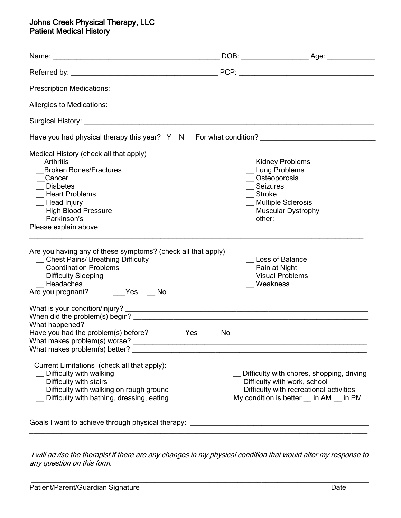# Johns Creek Physical Therapy, LLC Patient Medical History

| Allergies to Medications: <u>Allergies</u> to Medications: Allergies and Allergies to Medications:                                                                                                                        |                                                                                                                  |                                                                                                                                                                  |
|---------------------------------------------------------------------------------------------------------------------------------------------------------------------------------------------------------------------------|------------------------------------------------------------------------------------------------------------------|------------------------------------------------------------------------------------------------------------------------------------------------------------------|
|                                                                                                                                                                                                                           |                                                                                                                  |                                                                                                                                                                  |
| Have you had physical therapy this year? Y N For what condition?                                                                                                                                                          |                                                                                                                  |                                                                                                                                                                  |
| Medical History (check all that apply)<br>Arthritis<br><b>Broken Bones/Fractures</b><br>Cancer<br>$\equiv$ Diabetes<br>_ Heart Problems<br>_ Head Injury<br>_ High Blood Pressure<br>Parkinson's<br>Please explain above: | _ Kidney Problems<br>_Lung Problems<br>$\sqrt{ }$ Osteoporosis<br>_ Seizures<br>$S$ troke<br>_Multiple Sclerosis | _ Muscular Dystrophy                                                                                                                                             |
| Are you having any of these symptoms? (check all that apply)<br>_ Chest Pains/ Breathing Difficulty<br><b>Coordination Problems</b><br>_ Difficulty Sleeping<br>Headaches<br>Are you pregnant? _______Yes ____ No         | Pain at Night<br>Weakness                                                                                        | Loss of Balance<br><b>Visual Problems</b>                                                                                                                        |
| What happened?<br>Have you had the problem(s) before? ______Yes ____<br>What makes problem(s) worse?<br>What makes problem(s) better?                                                                                     | No                                                                                                               |                                                                                                                                                                  |
| Current Limitations (check all that apply):<br>Difficulty with walking<br>Difficulty with stairs<br>Difficulty with walking on rough ground<br>Difficulty with bathing, dressing, eating                                  |                                                                                                                  | Difficulty with chores, shopping, driving<br>Difficulty with work, school<br>Difficulty with recreational activities<br>My condition is better __ in AM __ in PM |
| Goals I want to achieve through physical therapy:                                                                                                                                                                         |                                                                                                                  |                                                                                                                                                                  |

I will advise the therapist if there are any changes in my physical condition that would alter my response to any question on this form.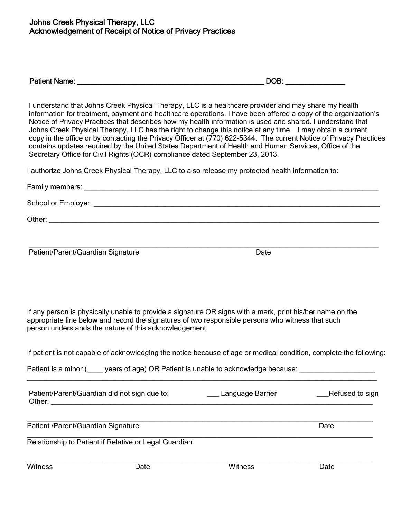| - - -<br><b>Patient Name:</b><br>JВ<br>ור<br>___<br>------------- |  |
|-------------------------------------------------------------------|--|
|-------------------------------------------------------------------|--|

 I understand that Johns Creek Physical Therapy, LLC is a healthcare provider and may share my health information for treatment, payment and healthcare operations. I have been offered a copy of the organization's Notice of Privacy Practices that describes how my health information is used and shared. I understand that Johns Creek Physical Therapy, LLC has the right to change this notice at any time. I may obtain a current copy in the office or by contacting the Privacy Officer at (770) 622-5344. The current Notice of Privacy Practices contains updates required by the United States Department of Health and Human Services, Office of the Secretary Office for Civil Rights (OCR) compliance dated September 23, 2013.

I authorize Johns Creek Physical Therapy, LLC to also release my protected health information to:

| Family members:     |
|---------------------|
| School or Employer: |
| Other:              |
|                     |

 $\mathcal{L} = \frac{1}{2} \sum_{i=1}^{n} \frac{1}{2} \sum_{j=1}^{n} \frac{1}{2} \sum_{j=1}^{n} \frac{1}{2} \sum_{j=1}^{n} \frac{1}{2} \sum_{j=1}^{n} \frac{1}{2} \sum_{j=1}^{n} \frac{1}{2} \sum_{j=1}^{n} \frac{1}{2} \sum_{j=1}^{n} \frac{1}{2} \sum_{j=1}^{n} \frac{1}{2} \sum_{j=1}^{n} \frac{1}{2} \sum_{j=1}^{n} \frac{1}{2} \sum_{j=1}^{n} \frac{1}{2} \sum$ 

Patient/Parent/Guardian Signature

| ۰.<br>×<br>. .<br>×<br>۰. |
|---------------------------|
|---------------------------|

 If any person is physically unable to provide a signature OR signs with a mark, print his/her name on the appropriate line below and record the signatures of two responsible persons who witness that such person understands the nature of this acknowledgement.

 $\mathcal{L} = \frac{1}{2} \sum_{i=1}^{n} \frac{1}{2} \sum_{j=1}^{n} \frac{1}{2} \sum_{j=1}^{n} \frac{1}{2} \sum_{j=1}^{n} \frac{1}{2} \sum_{j=1}^{n} \frac{1}{2} \sum_{j=1}^{n} \frac{1}{2} \sum_{j=1}^{n} \frac{1}{2} \sum_{j=1}^{n} \frac{1}{2} \sum_{j=1}^{n} \frac{1}{2} \sum_{j=1}^{n} \frac{1}{2} \sum_{j=1}^{n} \frac{1}{2} \sum_{j=1}^{n} \frac{1}{2} \sum$ 

If patient is not capable of acknowledging the notice because of age or medical condition, complete the following:

Patient is a minor ( \_\_\_\_ years of age) OR Patient is unable to acknowledge because:

| Patient/Parent/Guardian did not sign due to:<br>Other: | Language Barrier | Refused to sign |
|--------------------------------------------------------|------------------|-----------------|
| Patient /Parent/Guardian Signature                     |                  | Date            |
| Relationship to Patient if Relative or Legal Guardian  |                  |                 |

 $\mathcal{L}_\text{max} = \frac{1}{2} \sum_{i=1}^{n} \frac{1}{2} \sum_{i=1}^{n} \frac{1}{2} \sum_{i=1}^{n} \frac{1}{2} \sum_{i=1}^{n} \frac{1}{2} \sum_{i=1}^{n} \frac{1}{2} \sum_{i=1}^{n} \frac{1}{2} \sum_{i=1}^{n} \frac{1}{2} \sum_{i=1}^{n} \frac{1}{2} \sum_{i=1}^{n} \frac{1}{2} \sum_{i=1}^{n} \frac{1}{2} \sum_{i=1}^{n} \frac{1}{2} \sum_{i=1}^{n} \frac{1$ Witness **Date** Date **Witness** Date